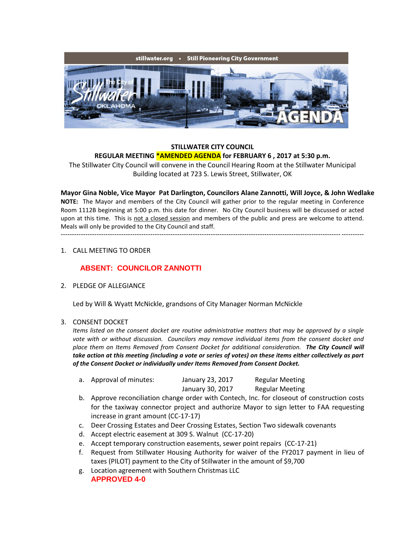

# **STILLWATER CITY COUNCIL REGULAR MEETING \*AMENDED AGENDA for FEBRUARY 6 , 2017 at 5:30 p.m.**

The Stillwater City Council will convene in the Council Hearing Room at the Stillwater Municipal Building located at 723 S. Lewis Street, Stillwater, OK

**Mayor Gina Noble, Vice Mayor Pat Darlington, Councilors Alane Zannotti, Will Joyce, & John Wedlake NOTE:** The Mayor and members of the City Council will gather prior to the regular meeting in Conference Room 1112B beginning at 5:00 p.m. this date for dinner. No City Council business will be discussed or acted upon at this time. This is not a closed session and members of the public and press are welcome to attend. Meals will only be provided to the City Council and staff. ---------------------------------------------------------------------------------------------------------------------------------------

# 1. CALL MEETING TO ORDER

# **ABSENT: COUNCILOR ZANNOTTI**

2. PLEDGE OF ALLEGIANCE

Led by Will & Wyatt McNickle, grandsons of City Manager Norman McNickle

#### 3. CONSENT DOCKET

*Items listed on the consent docket are routine administrative matters that may be approved by a single vote with or without discussion. Councilors may remove individual items from the consent docket and place them on Items Removed from Consent Docket for additional consideration. The City Council will take action at this meeting (including a vote or series of votes) on these items either collectively as part of the Consent Docket or individually under Items Removed from Consent Docket.*

| a. Approval of minutes: | January 23, 2017 | <b>Regular Meeting</b> |
|-------------------------|------------------|------------------------|
|                         | January 30, 2017 | <b>Regular Meeting</b> |

- b. Approve reconciliation change order with Contech, Inc. for closeout of construction costs for the taxiway connector project and authorize Mayor to sign letter to FAA requesting increase in grant amount (CC-17-17)
- c. Deer Crossing Estates and Deer Crossing Estates, Section Two sidewalk covenants
- d. Accept electric easement at 309 S. Walnut (CC-17-20)
- e. Accept temporary construction easements, sewer point repairs (CC-17-21)
- f. Request from Stillwater Housing Authority for waiver of the FY2017 payment in lieu of taxes (PILOT) payment to the City of Stillwater in the amount of \$9,700
- g. Location agreement with Southern Christmas LLC **APPROVED 4-0**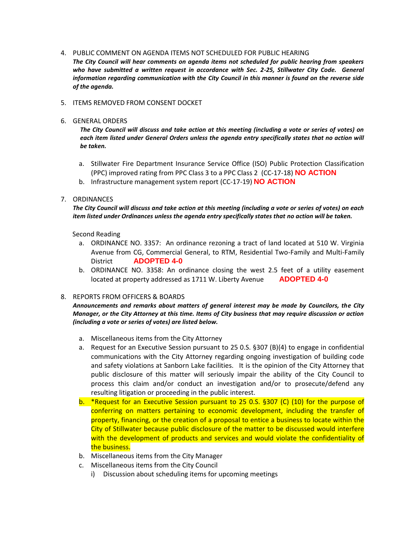## 4. PUBLIC COMMENT ON AGENDA ITEMS NOT SCHEDULED FOR PUBLIC HEARING

*The City Council will hear comments on agenda items not scheduled for public hearing from speakers*  who have submitted a written request in accordance with Sec. 2-25, Stillwater City Code. General *information regarding communication with the City Council in this manner is found on the reverse side of the agenda.*

#### 5. ITEMS REMOVED FROM CONSENT DOCKET

#### 6. GENERAL ORDERS

*The City Council will discuss and take action at this meeting (including a vote or series of votes) on each item listed under General Orders unless the agenda entry specifically states that no action will be taken.*

- a. Stillwater Fire Department Insurance Service Office (ISO) Public Protection Classification (PPC) improved rating from PPC Class 3 to a PPC Class 2 (CC-17-18) **NO ACTION**
- b. Infrastructure management system report (CC-17-19) **NO ACTION**

# 7. ORDINANCES

*The City Council will discuss and take action at this meeting (including a vote or series of votes) on each item listed under Ordinances unless the agenda entry specifically states that no action will be taken.*

## Second Reading

- a. ORDINANCE NO. 3357: An ordinance rezoning a tract of land located at 510 W. Virginia Avenue from CG, Commercial General, to RTM, Residential Two-Family and Multi-Family District **ADOPTED 4-0**
- b. ORDINANCE NO. 3358: An ordinance closing the west 2.5 feet of a utility easement located at property addressed as 1711 W. Liberty Avenue **ADOPTED 4-0**

# 8. REPORTS FROM OFFICERS & BOARDS

*Announcements and remarks about matters of general interest may be made by Councilors, the City Manager, or the City Attorney at this time. Items of City business that may require discussion or action (including a vote or series of votes) are listed below.*

- a. Miscellaneous items from the City Attorney
- a. Request for an Executive Session pursuant to 25 0.S. §307 (B)(4) to engage in confidential communications with the City Attorney regarding ongoing investigation of building code and safety violations at Sanborn Lake facilities. It is the opinion of the City Attorney that public disclosure of this matter will seriously impair the ability of the City Council to process this claim and/or conduct an investigation and/or to prosecute/defend any resulting litigation or proceeding in the public interest.
- b. \*Request for an Executive Session pursuant to 25 0.S. §307 (C) (10) for the purpose of conferring on matters pertaining to economic development, including the transfer of property, financing, or the creation of a proposal to entice a business to locate within the City of Stillwater because public disclosure of the matter to be discussed would interfere with the development of products and services and would violate the confidentiality of the business.
- b. Miscellaneous items from the City Manager
- c. Miscellaneous items from the City Council
	- i) Discussion about scheduling items for upcoming meetings